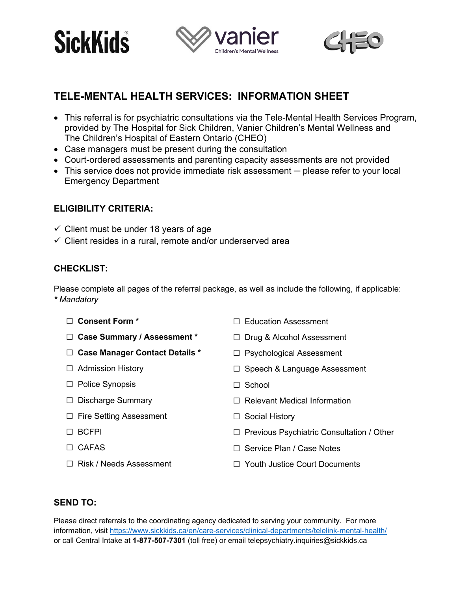





# **TELE-MENTAL HEALTH SERVICES: INFORMATION SHEET**

- This referral is for psychiatric consultations via the Tele-Mental Health Services Program, provided by The Hospital for Sick Children, Vanier Children's Mental Wellness and The Children's Hospital of Eastern Ontario (CHEO)
- Case managers must be present during the consultation
- Court-ordered assessments and parenting capacity assessments are not provided
- This service does not provide immediate risk assessment please refer to your local Emergency Department

### **ELIGIBILITY CRITERIA:**

- $\checkmark$  Client must be under 18 years of age
- $\checkmark$  Client resides in a rural, remote and/or underserved area

### **CHECKLIST:**

Please complete all pages of the referral package, as well as include the following*,* if applicable: *\* Mandatory*

- ☐ **Consent Form \***
- ☐ **Case Summary / Assessment \***
- ☐ **Case Manager Contact Details \***
- ☐ Admission History
- ☐ Police Synopsis
- ☐ Discharge Summary
- ☐ Fire Setting Assessment
- ☐ BCFPI
- ☐ CAFAS
- ☐ Risk / Needs Assessment
- □ Education Assessment
- ☐ Drug & Alcohol Assessment
- ☐ Psychological Assessment
- ☐ Speech & Language Assessment
- $\Box$  School
- ☐ Relevant Medical Information
- ☐ Social History
- ☐ Previous Psychiatric Consultation / Other
- ☐ Service Plan / Case Notes
- ☐ Youth Justice Court Documents

## **SEND TO:**

Please direct referrals to the coordinating agency dedicated to serving your community. For more information, visit https://www.sickkids.ca/en/care-services/clinical-departments/telelink-mental-health/ or call Central Intake at **1-877-507-7301** (toll free) or email telepsychiatry.inquiries@sickkids.ca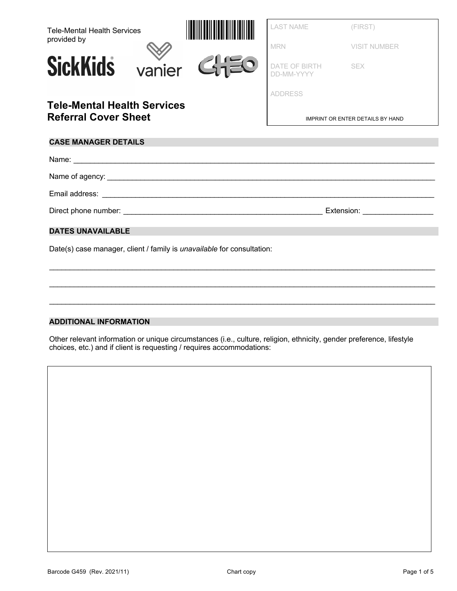| <b>Tele-Mental Health Services</b>                                            |  |             | <b>LAST NAME</b>            | (FIRST)                                 |
|-------------------------------------------------------------------------------|--|-------------|-----------------------------|-----------------------------------------|
| provided by                                                                   |  |             | <b>MRN</b>                  | <b>VISIT NUMBER</b>                     |
| <b>SickKids</b>                                                               |  | vanier GHEO | DATE OF BIRTH<br>DD-MM-YYYY | <b>SEX</b>                              |
|                                                                               |  |             | <b>ADDRESS</b>              |                                         |
| <b>Tele-Mental Health Services</b><br><b>Referral Cover Sheet</b>             |  |             |                             | <b>IMPRINT OR ENTER DETAILS BY HAND</b> |
| <b>CASE MANAGER DETAILS</b>                                                   |  |             |                             |                                         |
|                                                                               |  |             |                             |                                         |
|                                                                               |  |             |                             |                                         |
|                                                                               |  |             |                             |                                         |
|                                                                               |  |             |                             |                                         |
| <b>DATES UNAVAILABLE</b>                                                      |  |             |                             |                                         |
| Date(s) case manager, client / family is <i>unavailable</i> for consultation: |  |             |                             |                                         |
|                                                                               |  |             |                             |                                         |
|                                                                               |  |             |                             |                                         |
|                                                                               |  |             |                             |                                         |
|                                                                               |  |             |                             |                                         |

#### **ADDITIONAL INFORMATION**

Other relevant information or unique circumstances (i.e., culture, religion, ethnicity, gender preference, lifestyle choices, etc.) and if client is requesting / requires accommodations: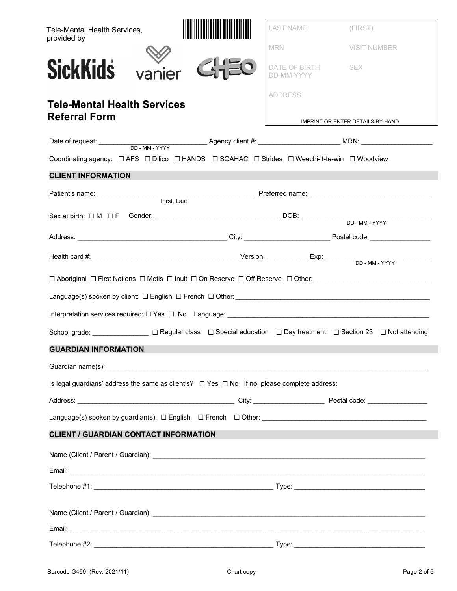| Tele-Mental Health Services,<br>provided by                                                                                     | LAST NAME<br>(FIRST)                      |
|---------------------------------------------------------------------------------------------------------------------------------|-------------------------------------------|
|                                                                                                                                 | <b>MRN</b><br><b>VISIT NUMBER</b>         |
| <b>SickKids</b><br>vanier                                                                                                       | DATE OF BIRTH<br><b>SEX</b><br>DD-MM-YYYY |
|                                                                                                                                 | <b>ADDRESS</b>                            |
| <b>Tele-Mental Health Services</b><br><b>Referral Form</b>                                                                      |                                           |
|                                                                                                                                 | IMPRINT OR ENTER DETAILS BY HAND          |
|                                                                                                                                 |                                           |
| Coordinating agency: $\Box$ AFS $\Box$ Dilico $\Box$ HANDS $\Box$ SOAHAC $\Box$ Strides $\Box$ Weechi-it-te-win $\Box$ Woodview |                                           |
| <b>CLIENT INFORMATION</b>                                                                                                       |                                           |
|                                                                                                                                 |                                           |
|                                                                                                                                 |                                           |
|                                                                                                                                 |                                           |
|                                                                                                                                 |                                           |
| □ Aboriginal □ First Nations □ Metis □ Inuit □ On Reserve □ Off Reserve □ Other: ________________________                       |                                           |
|                                                                                                                                 |                                           |
|                                                                                                                                 |                                           |
| School grade: <u>University</u> DRegular class D Special education D Day treatment D Section 23 D Not attending                 |                                           |
| <b>GUARDIAN INFORMATION</b>                                                                                                     |                                           |
|                                                                                                                                 |                                           |
| Is legal guardians' address the same as client's? $\Box$ Yes $\Box$ No If no, please complete address:                          |                                           |
|                                                                                                                                 |                                           |
|                                                                                                                                 |                                           |
| <b>CLIENT / GUARDIAN CONTACT INFORMATION</b>                                                                                    |                                           |
|                                                                                                                                 |                                           |
|                                                                                                                                 |                                           |
|                                                                                                                                 |                                           |
|                                                                                                                                 |                                           |
|                                                                                                                                 |                                           |
|                                                                                                                                 |                                           |
|                                                                                                                                 |                                           |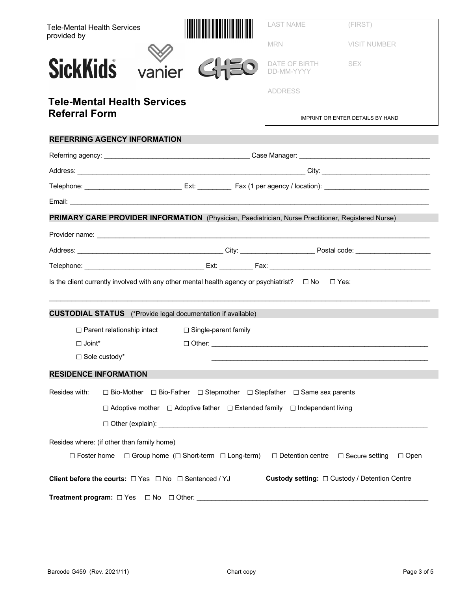| <b>Tele-Mental Health Services</b>                                                                                | <b>LAST NAME</b>                                          | (FIRST)                          |
|-------------------------------------------------------------------------------------------------------------------|-----------------------------------------------------------|----------------------------------|
| provided by                                                                                                       | <b>MRN</b>                                                | <b>VISIT NUMBER</b>              |
| vanier<br><b>SickKids</b>                                                                                         | DATE OF BIRTH<br>DD-MM-YYYY                               | <b>SEX</b>                       |
|                                                                                                                   | <b>ADDRESS</b>                                            |                                  |
| <b>Tele-Mental Health Services</b><br><b>Referral Form</b>                                                        |                                                           | IMPRINT OR ENTER DETAILS BY HAND |
| <b>REFERRING AGENCY INFORMATION</b>                                                                               |                                                           |                                  |
|                                                                                                                   |                                                           |                                  |
|                                                                                                                   |                                                           |                                  |
|                                                                                                                   |                                                           |                                  |
|                                                                                                                   |                                                           |                                  |
| PRIMARY CARE PROVIDER INFORMATION (Physician, Paediatrician, Nurse Practitioner, Registered Nurse)                |                                                           |                                  |
|                                                                                                                   |                                                           |                                  |
|                                                                                                                   |                                                           |                                  |
|                                                                                                                   |                                                           |                                  |
| Is the client currently involved with any other mental health agency or psychiatrist? $\square$ No $\square$ Yes: |                                                           |                                  |
| <b>CUSTODIAL STATUS</b> (*Provide legal documentation if available)                                               |                                                           |                                  |
| □ Single-parent family<br>$\Box$ Parent relationship intact                                                       |                                                           |                                  |
| $\Box$ Joint*                                                                                                     |                                                           |                                  |
| □ Sole custody*                                                                                                   |                                                           |                                  |
| <b>RESIDENCE INFORMATION</b>                                                                                      |                                                           |                                  |
| Resides with:<br>$\Box$ Bio-Mother $\Box$ Bio-Father $\Box$ Stepmother $\Box$ Stepfather $\Box$ Same sex parents  |                                                           |                                  |
| $\Box$ Adoptive mother $\Box$ Adoptive father $\Box$ Extended family $\Box$ Independent living                    |                                                           |                                  |
|                                                                                                                   |                                                           |                                  |
| Resides where: (if other than family home)                                                                        |                                                           |                                  |
| □ Foster home □ Group home (□ Short-term □ Long-term) □ Detention centre □ Secure setting □ Open                  |                                                           |                                  |
| Client before the courts: $\Box$ Yes $\Box$ No $\Box$ Sentenced / YJ                                              | <b>Custody setting:</b> $\Box$ Custody / Detention Centre |                                  |
| <b>Treatment program:</b> $\Box$ Yes $\Box$ No $\Box$ Other:                                                      |                                                           |                                  |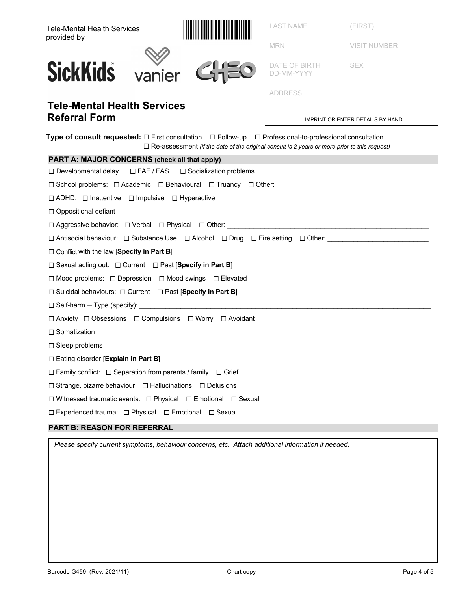| <b>Tele-Mental Health Services</b><br>provided by                                                                                                                                                                             | LAST NAME                   | (FIRST)                          |  |  |
|-------------------------------------------------------------------------------------------------------------------------------------------------------------------------------------------------------------------------------|-----------------------------|----------------------------------|--|--|
|                                                                                                                                                                                                                               | <b>MRN</b>                  | <b>VISIT NUMBER</b>              |  |  |
| <b>SickKids</b> vanier<br>$C_1$                                                                                                                                                                                               | DATE OF BIRTH<br>DD-MM-YYYY | <b>SEX</b>                       |  |  |
|                                                                                                                                                                                                                               | <b>ADDRESS</b>              |                                  |  |  |
| <b>Tele-Mental Health Services</b><br><b>Referral Form</b>                                                                                                                                                                    |                             | IMPRINT OR ENTER DETAILS BY HAND |  |  |
| Type of consult requested: $\Box$ First consultation $\Box$ Follow-up $\Box$ Professional-to-professional consultation<br>$\Box$ Re-assessment (if the date of the original consult is 2 years or more prior to this request) |                             |                                  |  |  |
| PART A: MAJOR CONCERNS (check all that apply)                                                                                                                                                                                 |                             |                                  |  |  |
| $\Box$ Developmental delay<br>$\Box$ FAE / FAS $\Box$ Socialization problems                                                                                                                                                  |                             |                                  |  |  |
| □ School problems: □ Academic □ Behavioural □ Truancy □ Other: _________________                                                                                                                                              |                             |                                  |  |  |
| □ ADHD: □ Inattentive □ Impulsive □ Hyperactive                                                                                                                                                                               |                             |                                  |  |  |
| $\Box$ Oppositional defiant                                                                                                                                                                                                   |                             |                                  |  |  |
|                                                                                                                                                                                                                               |                             |                                  |  |  |
| □ Antisocial behaviour: □ Substance Use □ Alcohol □ Drug □ Fire setting □ Other:                                                                                                                                              |                             |                                  |  |  |
| $\Box$ Conflict with the law [Specify in Part B]                                                                                                                                                                              |                             |                                  |  |  |
| $\Box$ Sexual acting out: $\Box$ Current $\Box$ Past [Specify in Part B]                                                                                                                                                      |                             |                                  |  |  |
| □ Mood problems: □ Depression □ Mood swings □ Elevated                                                                                                                                                                        |                             |                                  |  |  |
| $\Box$ Suicidal behaviours: $\Box$ Current $\Box$ Past [Specify in Part B]                                                                                                                                                    |                             |                                  |  |  |
| $\Box$ Self-harm - Type (specify): $\Box$                                                                                                                                                                                     |                             |                                  |  |  |
| $\Box$ Anxiety $\Box$ Obsessions $\Box$ Compulsions $\Box$ Worry $\Box$ Avoidant                                                                                                                                              |                             |                                  |  |  |
| $\Box$ Somatization                                                                                                                                                                                                           |                             |                                  |  |  |
| $\Box$ Sleep problems                                                                                                                                                                                                         |                             |                                  |  |  |
| $\Box$ Eating disorder [Explain in Part B]                                                                                                                                                                                    |                             |                                  |  |  |
| $\Box$ Family conflict: $\Box$ Separation from parents / family $\Box$ Grief                                                                                                                                                  |                             |                                  |  |  |
| □ Strange, bizarre behaviour: □ Hallucinations □ Delusions                                                                                                                                                                    |                             |                                  |  |  |
| □ Witnessed traumatic events: □ Physical □ Emotional □ Sexual                                                                                                                                                                 |                             |                                  |  |  |
| □ Experienced trauma: □ Physical □ Emotional □ Sexual                                                                                                                                                                         |                             |                                  |  |  |
| <b>PART B: REASON FOR REFERRAL</b>                                                                                                                                                                                            |                             |                                  |  |  |

*Please specify current symptoms, behaviour concerns, etc. Attach additional information if needed:*